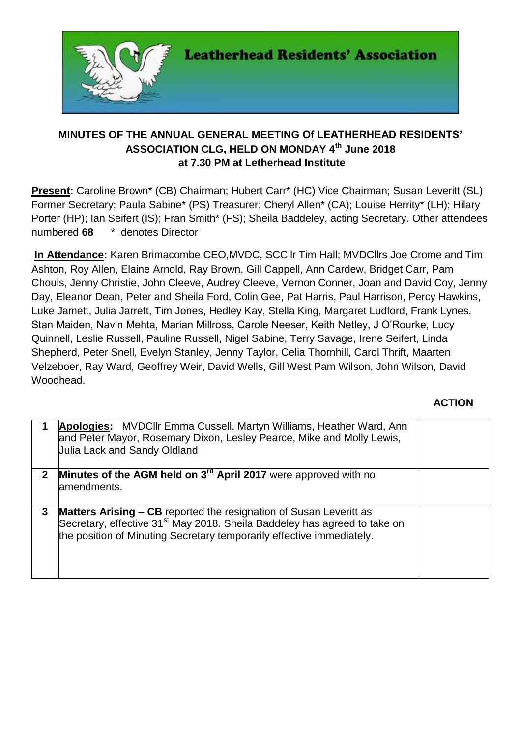

## **MINUTES OF THE ANNUAL GENERAL MEETING Of LEATHERHEAD RESIDENTS' ASSOCIATION CLG, HELD ON MONDAY 4 th June 2018 at 7.30 PM at Letherhead Institute**

**Present:** Caroline Brown\* (CB) Chairman; Hubert Carr\* (HC) Vice Chairman; Susan Leveritt (SL) Former Secretary; Paula Sabine\* (PS) Treasurer; Cheryl Allen\* (CA); Louise Herrity\* (LH); Hilary Porter (HP); Ian Seifert (IS); Fran Smith\* (FS); Sheila Baddeley, acting Secretary. Other attendees numbered **68** \* denotes Director

**In Attendance:** Karen Brimacombe CEO,MVDC, SCCllr Tim Hall; MVDCllrs Joe Crome and Tim Ashton, Roy Allen, Elaine Arnold, Ray Brown, Gill Cappell, Ann Cardew, Bridget Carr, Pam Chouls, Jenny Christie, John Cleeve, Audrey Cleeve, Vernon Conner, Joan and David Coy, Jenny Day, Eleanor Dean, Peter and Sheila Ford, Colin Gee, Pat Harris, Paul Harrison, Percy Hawkins, Luke Jamett, Julia Jarrett, Tim Jones, Hedley Kay, Stella King, Margaret Ludford, Frank Lynes, Stan Maiden, Navin Mehta, Marian Millross, Carole Neeser, Keith Netley, J O'Rourke, Lucy Quinnell, Leslie Russell, Pauline Russell, Nigel Sabine, Terry Savage, Irene Seifert, Linda Shepherd, Peter Snell, Evelyn Stanley, Jenny Taylor, Celia Thornhill, Carol Thrift, Maarten Velzeboer, Ray Ward, Geoffrey Weir, David Wells, Gill West Pam Wilson, John Wilson, David Woodhead.

## **ACTION**

|              | <b>Apologies:</b> MVDCIIr Emma Cussell. Martyn Williams, Heather Ward, Ann<br>and Peter Mayor, Rosemary Dixon, Lesley Pearce, Mike and Molly Lewis,<br><b>Julia Lack and Sandy Oldland</b>                                           |  |
|--------------|--------------------------------------------------------------------------------------------------------------------------------------------------------------------------------------------------------------------------------------|--|
| $\mathbf{2}$ | Minutes of the AGM held on 3 <sup>rd</sup> April 2017 were approved with no<br>amendments.                                                                                                                                           |  |
| 3            | Matters Arising - CB reported the resignation of Susan Leveritt as<br>Secretary, effective 31 <sup>st</sup> May 2018. Sheila Baddeley has agreed to take on<br>the position of Minuting Secretary temporarily effective immediately. |  |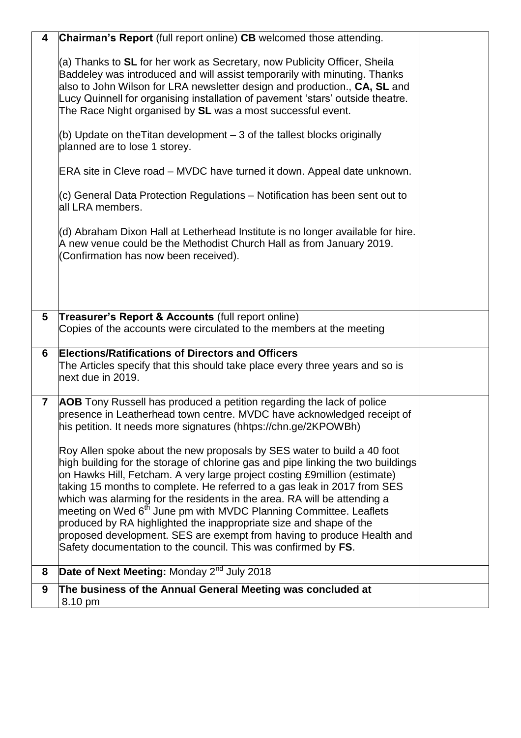| 8<br>9         | <b>Date of Next Meeting:</b> Monday $2^{nd}$ July 2018<br>The business of the Annual General Meeting was concluded at                                                                                                                                                                                                                                                                                                                                                                                                                                                                                                                                                                                                                                                                                                                                                                                                     |  |
|----------------|---------------------------------------------------------------------------------------------------------------------------------------------------------------------------------------------------------------------------------------------------------------------------------------------------------------------------------------------------------------------------------------------------------------------------------------------------------------------------------------------------------------------------------------------------------------------------------------------------------------------------------------------------------------------------------------------------------------------------------------------------------------------------------------------------------------------------------------------------------------------------------------------------------------------------|--|
|                |                                                                                                                                                                                                                                                                                                                                                                                                                                                                                                                                                                                                                                                                                                                                                                                                                                                                                                                           |  |
| $\overline{7}$ | AOB Tony Russell has produced a petition regarding the lack of police<br>presence in Leatherhead town centre. MVDC have acknowledged receipt of<br>his petition. It needs more signatures (hhtps://chn.ge/2KPOWBh)<br>Roy Allen spoke about the new proposals by SES water to build a 40 foot<br>high building for the storage of chlorine gas and pipe linking the two buildings<br>on Hawks Hill, Fetcham. A very large project costing £9million (estimate)<br>taking 15 months to complete. He referred to a gas leak in 2017 from SES<br>which was alarming for the residents in the area. RA will be attending a<br>meeting on Wed 6 <sup>th</sup> June pm with MVDC Planning Committee. Leaflets<br>produced by RA highlighted the inappropriate size and shape of the<br>proposed development. SES are exempt from having to produce Health and<br>Safety documentation to the council. This was confirmed by FS. |  |
| 6              | <b>Elections/Ratifications of Directors and Officers</b><br>The Articles specify that this should take place every three years and so is<br>next due in 2019.                                                                                                                                                                                                                                                                                                                                                                                                                                                                                                                                                                                                                                                                                                                                                             |  |
| 5              | Treasurer's Report & Accounts (full report online)<br>Copies of the accounts were circulated to the members at the meeting                                                                                                                                                                                                                                                                                                                                                                                                                                                                                                                                                                                                                                                                                                                                                                                                |  |
|                | (d) Abraham Dixon Hall at Letherhead Institute is no longer available for hire.<br>$A$ new venue could be the Methodist Church Hall as from January 2019.<br>(Confirmation has now been received).                                                                                                                                                                                                                                                                                                                                                                                                                                                                                                                                                                                                                                                                                                                        |  |
|                | ERA site in Cleve road – MVDC have turned it down. Appeal date unknown.<br>(c) General Data Protection Regulations – Notification has been sent out to<br>all LRA members.                                                                                                                                                                                                                                                                                                                                                                                                                                                                                                                                                                                                                                                                                                                                                |  |
|                | (b) Update on the Titan development $-3$ of the tallest blocks originally<br>planned are to lose 1 storey.                                                                                                                                                                                                                                                                                                                                                                                                                                                                                                                                                                                                                                                                                                                                                                                                                |  |
|                | (a) Thanks to SL for her work as Secretary, now Publicity Officer, Sheila<br>Baddeley was introduced and will assist temporarily with minuting. Thanks<br>also to John Wilson for LRA newsletter design and production., CA, SL and<br>Lucy Quinnell for organising installation of pavement 'stars' outside theatre.<br>The Race Night organised by SL was a most successful event.                                                                                                                                                                                                                                                                                                                                                                                                                                                                                                                                      |  |
| 4              | Chairman's Report (full report online) CB welcomed those attending.                                                                                                                                                                                                                                                                                                                                                                                                                                                                                                                                                                                                                                                                                                                                                                                                                                                       |  |